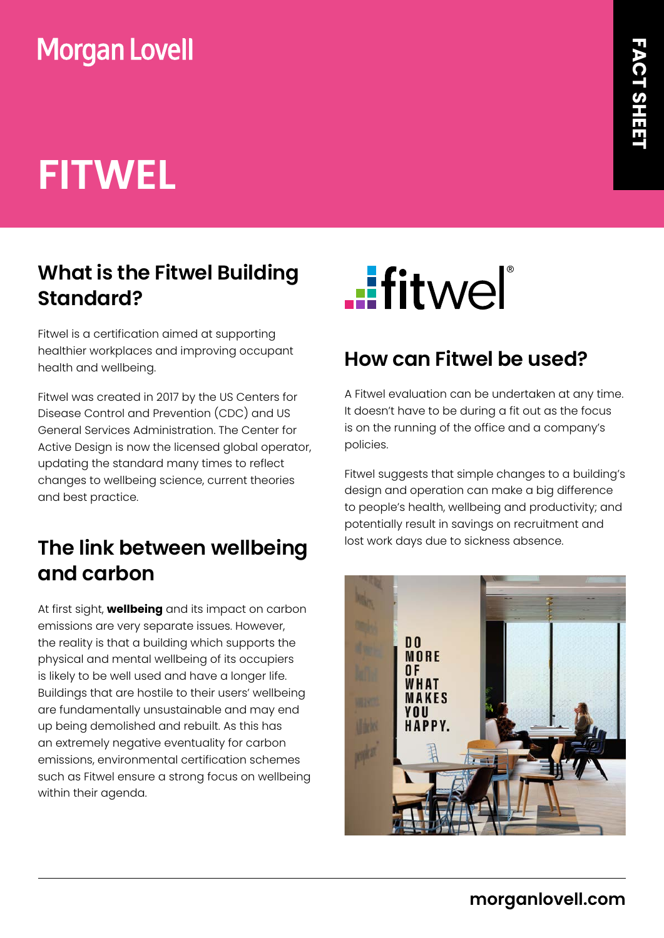## **Morgan Lovell**

# **FITWEL**

### **What is the Fitwel Building Standard?**

Fitwel is a certification aimed at supporting healthier workplaces and improving occupant health and wellbeing.

Fitwel was created in 2017 by the US Centers for Disease Control and Prevention (CDC) and US General Services Administration. The Center for Active Design is now the licensed global operator, updating the standard many times to reflect changes to wellbeing science, current theories and best practice.

#### **The link between wellbeing and carbon**

At first sight, **wellbeing** and its impact on carbon emissions are very separate issues. However, the reality is that a building which supports the physical and mental wellbeing of its occupiers is likely to be well used and have a longer life. Buildings that are hostile to their users' wellbeing are fundamentally unsustainable and may end up being demolished and rebuilt. As this has an extremely negative eventuality for carbon emissions, environmental certification schemes such as Fitwel ensure a strong focus on wellbeing within their agenda.



#### **How can Fitwel be used?**

A Fitwel evaluation can be undertaken at any time. It doesn't have to be during a fit out as the focus is on the running of the office and a company's policies.

Fitwel suggests that simple changes to a building's design and operation can make a big difference to people's health, wellbeing and productivity; and potentially result in savings on recruitment and lost work days due to sickness absence.

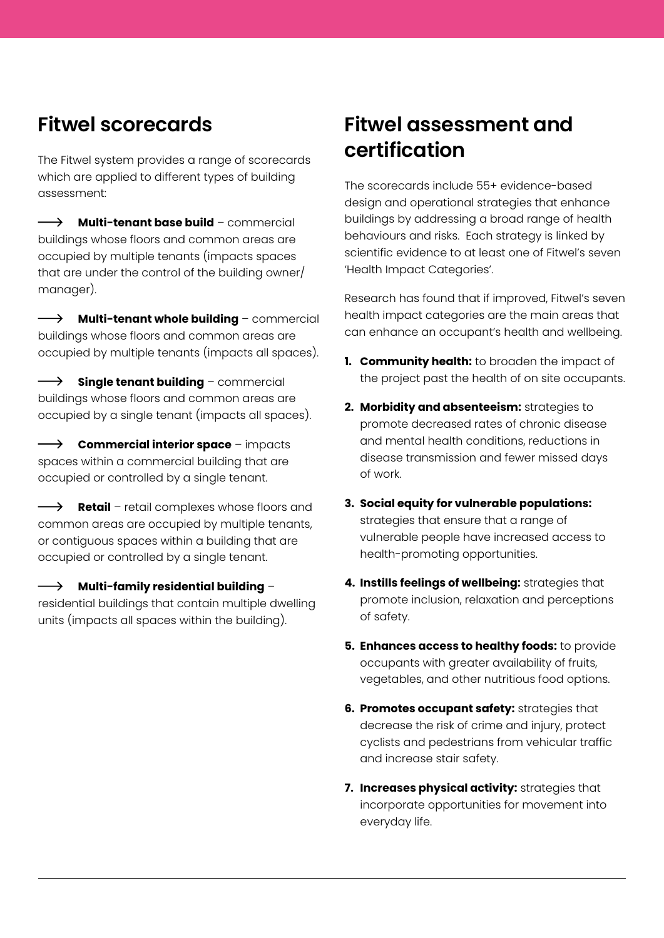#### **Fitwel scorecards**

The Fitwel system provides a range of scorecards which are applied to different types of building assessment:

 $\longrightarrow$ **Multi-tenant base build** – commercial buildings whose floors and common areas are occupied by multiple tenants (impacts spaces that are under the control of the building owner/ manager).

 $\longrightarrow$ **Multi-tenant whole building** – commercial buildings whose floors and common areas are occupied by multiple tenants (impacts all spaces).

 $\rightarrow$ **Single tenant building** – commercial buildings whose floors and common areas are occupied by a single tenant (impacts all spaces).

**Commercial interior space** – impacts spaces within a commercial building that are occupied or controlled by a single tenant.

 $\longrightarrow$ **Retail** – retail complexes whose floors and common areas are occupied by multiple tenants, or contiguous spaces within a building that are occupied or controlled by a single tenant.

**Multi-family residential building** –  $\rightarrow$ residential buildings that contain multiple dwelling units (impacts all spaces within the building).

#### **Fitwel assessment and certification**

The scorecards include 55+ evidence-based design and operational strategies that enhance buildings by addressing a broad range of health behaviours and risks. Each strategy is linked by scientific evidence to at least one of Fitwel's seven 'Health Impact Categories'.

Research has found that if improved, Fitwel's seven health impact categories are the main areas that can enhance an occupant's health and wellbeing.

- **1. Community health:** to broaden the impact of the project past the health of on site occupants.
- **2. Morbidity and absenteeism:** strategies to promote decreased rates of chronic disease and mental health conditions, reductions in disease transmission and fewer missed days of work.
- **3. Social equity for vulnerable populations:** strategies that ensure that a range of vulnerable people have increased access to health-promoting opportunities.
- **4. Instills feelings of wellbeing:** strategies that promote inclusion, relaxation and perceptions of safety.
- **5. Enhances access to healthy foods:** to provide occupants with greater availability of fruits, vegetables, and other nutritious food options.
- **6. Promotes occupant safety:** strategies that decrease the risk of crime and injury, protect cyclists and pedestrians from vehicular traffic and increase stair safety.
- **7. Increases physical activity:** strategies that incorporate opportunities for movement into everyday life.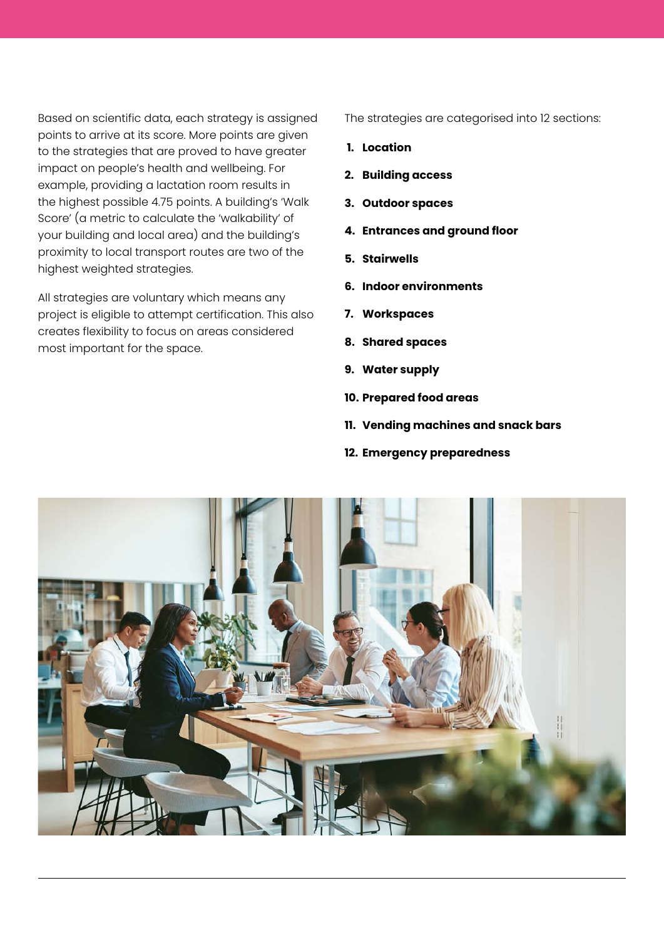Based on scientific data, each strategy is assigned points to arrive at its score. More points are given to the strategies that are proved to have greater impact on people's health and wellbeing. For example, providing a lactation room results in the highest possible 4.75 points. A building's 'Walk Score' (a metric to calculate the 'walkability' of your building and local area) and the building's proximity to local transport routes are two of the highest weighted strategies.

All strategies are voluntary which means any project is eligible to attempt certification. This also creates flexibility to focus on areas considered most important for the space.

The strategies are categorised into 12 sections:

- **1. Location**
- **2. Building access**
- **3. Outdoor spaces**
- **4. Entrances and ground floor**
- **5. Stairwells**
- **6. Indoor environments**
- **7. Workspaces**
- **8. Shared spaces**
- **9. Water supply**
- **10. Prepared food areas**
- **11. Vending machines and snack bars**
- **12. Emergency preparedness**